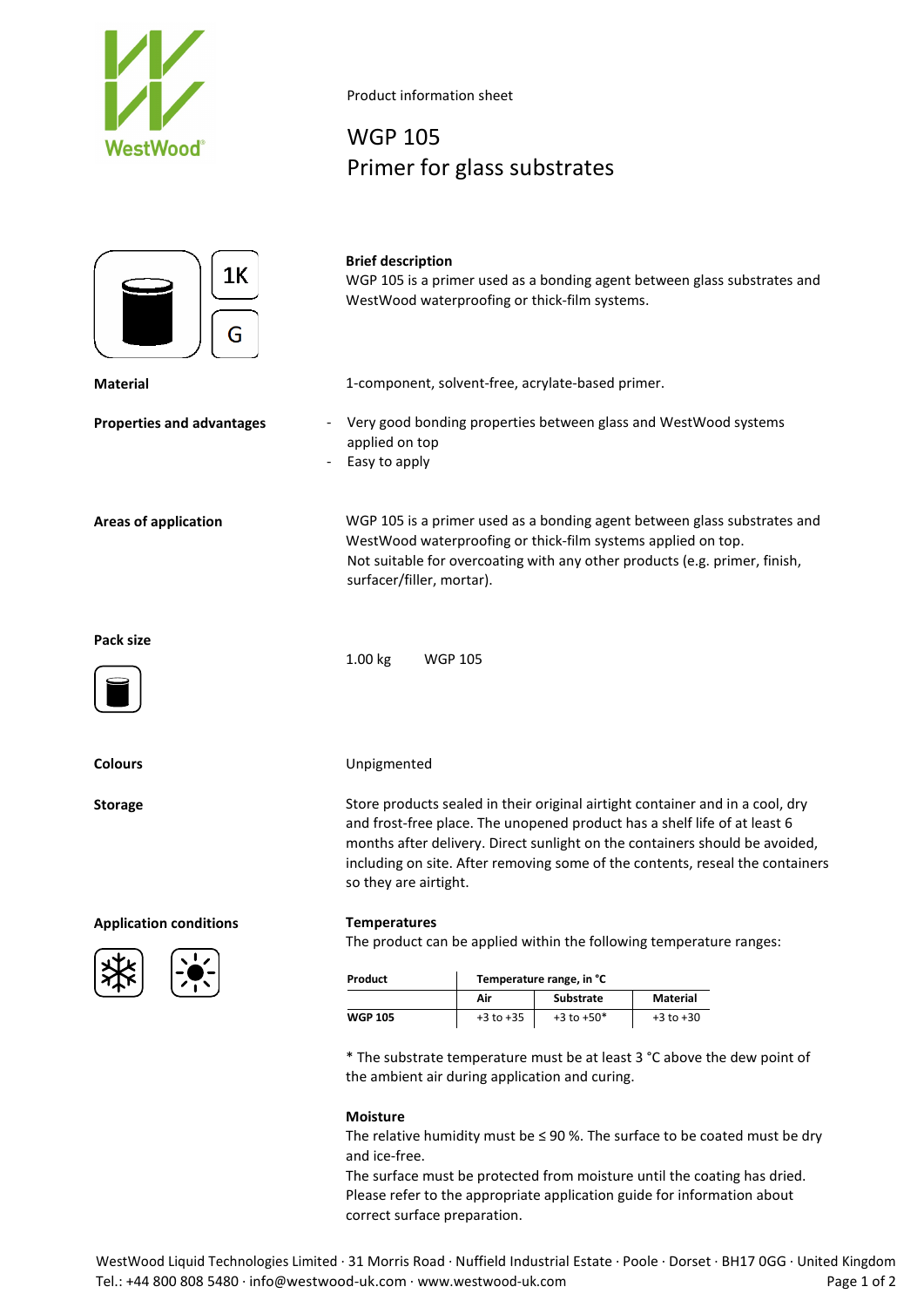

Product information sheet

## WGP 105 Primer for glass substrates



### **Brief description**

WGP 105 is a primer used as a bonding agent between glass substrates and WestWood waterproofing or thick-film systems.

**Material** 1-component, solvent-free, acrylate-based primer.

- **Properties and advantages** Very good bonding properties between glass and WestWood systems applied on top
	- Easy to apply

**Areas of application** WGP 105 is a primer used as a bonding agent between glass substrates and WestWood waterproofing or thick-film systems applied on top. Not suitable for overcoating with any other products (e.g. primer, finish, surfacer/filler, mortar).

**Pack size**



## **Colours** Unpigmented

1.00 kg WGP 105

Storage Store products sealed in their original airtight container and in a cool, dry and frost-free place. The unopened product has a shelf life of at least 6 months after delivery. Direct sunlight on the containers should be avoided, including on site. After removing some of the contents, reseal the containers so they are airtight.

## **Application conditions Temperatures**



The product can be applied within the following temperature ranges:

| Product | Temperature range, in °C |                  |               |
|---------|--------------------------|------------------|---------------|
|         | Air                      | <b>Substrate</b> | Material      |
| WGP 105 | $+3$ to $+35$            | $+3$ to $+50*$   | $+3$ to $+30$ |

\* The substrate temperature must be at least 3 °C above the dew point of the ambient air during application and curing.

### **Moisture**

The relative humidity must be  $\leq$  90 %. The surface to be coated must be dry and ice-free.

The surface must be protected from moisture until the coating has dried. Please refer to the appropriate application guide for information about correct surface preparation.